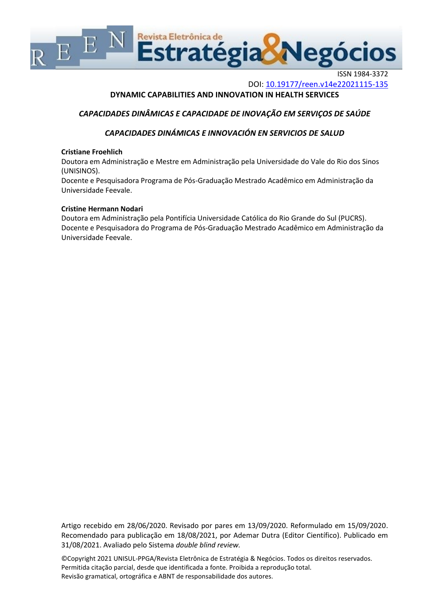

ISSN 1984-3372 DOI: <10.19177/reen.v14e22021115-135>

# **DYNAMIC CAPABILITIES AND INNOVATION IN HEALTH SERVICES**

# *CAPACIDADES DINÂMICAS E CAPACIDADE DE INOVAÇÃO EM SERVIÇOS DE SAÚDE*

# *CAPACIDADES DINÁMICAS E INNOVACIÓN EN SERVICIOS DE SALUD*

### **Cristiane Froehlich**

Doutora em Administração e Mestre em Administração pela Universidade do Vale do Rio dos Sinos (UNISINOS).

Docente e Pesquisadora Programa de Pós-Graduação Mestrado Acadêmico em Administração da Universidade Feevale.

### **Cristine Hermann Nodari**

Doutora em Administração pela Pontifícia Universidade Católica do Rio Grande do Sul (PUCRS). Docente e Pesquisadora do Programa de Pós-Graduação Mestrado Acadêmico em Administração da Universidade Feevale.

Artigo recebido em 28/06/2020. Revisado por pares em 13/09/2020. Reformulado em 15/09/2020. Recomendado para publicação em 18/08/2021, por Ademar Dutra (Editor Científico). Publicado em 31/08/2021. Avaliado pelo Sistema *double blind review.*

©Copyright 2021 UNISUL-PPGA/Revista Eletrônica de Estratégia & Negócios. Todos os direitos reservados. Permitida citação parcial, desde que identificada a fonte. Proibida a reprodução total. Revisão gramatical, ortográfica e ABNT de responsabilidade dos autores.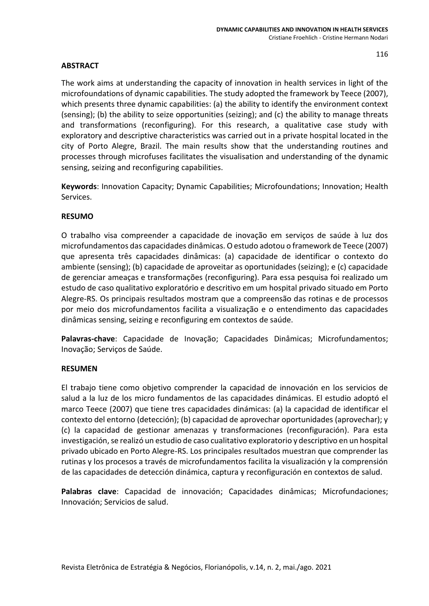# **ABSTRACT**

The work aims at understanding the capacity of innovation in health services in light of the microfoundations of dynamic capabilities. The study adopted the framework by Teece (2007), which presents three dynamic capabilities: (a) the ability to identify the environment context (sensing); (b) the ability to seize opportunities (seizing); and (c) the ability to manage threats and transformations (reconfiguring). For this research, a qualitative case study with exploratory and descriptive characteristics was carried out in a private hospital located in the city of Porto Alegre, Brazil. The main results show that the understanding routines and processes through microfuses facilitates the visualisation and understanding of the dynamic sensing, seizing and reconfiguring capabilities.

**Keywords**: Innovation Capacity; Dynamic Capabilities; Microfoundations; Innovation; Health Services.

# **RESUMO**

O trabalho visa compreender a capacidade de inovação em serviços de saúde à luz dos microfundamentos das capacidades dinâmicas. O estudo adotou o framework de Teece (2007) que apresenta três capacidades dinâmicas: (a) capacidade de identificar o contexto do ambiente (sensing); (b) capacidade de aproveitar as oportunidades (seizing); e (c) capacidade de gerenciar ameaças e transformações (reconfiguring). Para essa pesquisa foi realizado um estudo de caso qualitativo exploratório e descritivo em um hospital privado situado em Porto Alegre-RS. Os principais resultados mostram que a compreensão das rotinas e de processos por meio dos microfundamentos facilita a visualização e o entendimento das capacidades dinâmicas sensing, seizing e reconfiguring em contextos de saúde.

**Palavras-chave**: Capacidade de Inovação; Capacidades Dinâmicas; Microfundamentos; Inovação; Serviços de Saúde.

# **RESUMEN**

El trabajo tiene como objetivo comprender la capacidad de innovación en los servicios de salud a la luz de los micro fundamentos de las capacidades dinámicas. El estudio adoptó el marco Teece (2007) que tiene tres capacidades dinámicas: (a) la capacidad de identificar el contexto del entorno (detección); (b) capacidad de aprovechar oportunidades (aprovechar); y (c) la capacidad de gestionar amenazas y transformaciones (reconfiguración). Para esta investigación, se realizó un estudio de caso cualitativo exploratorio y descriptivo en un hospital privado ubicado en Porto Alegre-RS. Los principales resultados muestran que comprender las rutinas y los procesos a través de microfundamentos facilita la visualización y la comprensión de las capacidades de detección dinámica, captura y reconfiguración en contextos de salud.

**Palabras clave**: Capacidad de innovación; Capacidades dinâmicas; Microfundaciones; Innovación; Servicios de salud.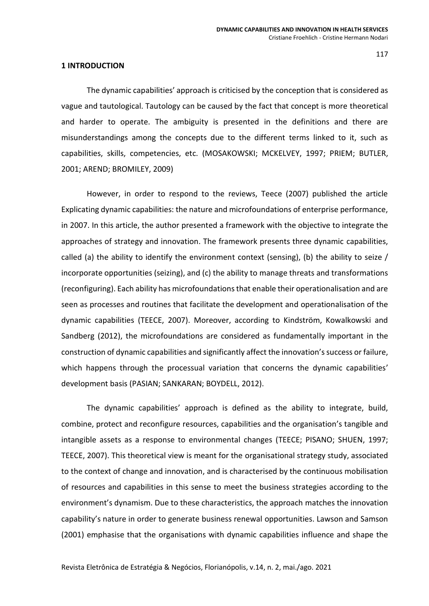### **1 INTRODUCTION**

The dynamic capabilities' approach is criticised by the conception that is considered as vague and tautological. Tautology can be caused by the fact that concept is more theoretical and harder to operate. The ambiguity is presented in the definitions and there are misunderstandings among the concepts due to the different terms linked to it, such as capabilities, skills, competencies, etc. (MOSAKOWSKI; MCKELVEY, 1997; PRIEM; BUTLER, 2001; AREND; BROMILEY, 2009)

However, in order to respond to the reviews, Teece (2007) published the article Explicating dynamic capabilities: the nature and microfoundations of enterprise performance, in 2007. In this article, the author presented a framework with the objective to integrate the approaches of strategy and innovation. The framework presents three dynamic capabilities, called (a) the ability to identify the environment context (sensing), (b) the ability to seize / incorporate opportunities (seizing), and (c) the ability to manage threats and transformations (reconfiguring). Each ability has microfoundations that enable their operationalisation and are seen as processes and routines that facilitate the development and operationalisation of the dynamic capabilities (TEECE, 2007). Moreover, according to Kindström, Kowalkowski and Sandberg (2012), the microfoundations are considered as fundamentally important in the construction of dynamic capabilities and significantly affect the innovation's success or failure, which happens through the processual variation that concerns the dynamic capabilities' development basis (PASIAN; SANKARAN; BOYDELL, 2012).

The dynamic capabilities' approach is defined as the ability to integrate, build, combine, protect and reconfigure resources, capabilities and the organisation's tangible and intangible assets as a response to environmental changes (TEECE; PISANO; SHUEN, 1997; TEECE, 2007). This theoretical view is meant for the organisational strategy study, associated to the context of change and innovation, and is characterised by the continuous mobilisation of resources and capabilities in this sense to meet the business strategies according to the environment's dynamism. Due to these characteristics, the approach matches the innovation capability's nature in order to generate business renewal opportunities. Lawson and Samson (2001) emphasise that the organisations with dynamic capabilities influence and shape the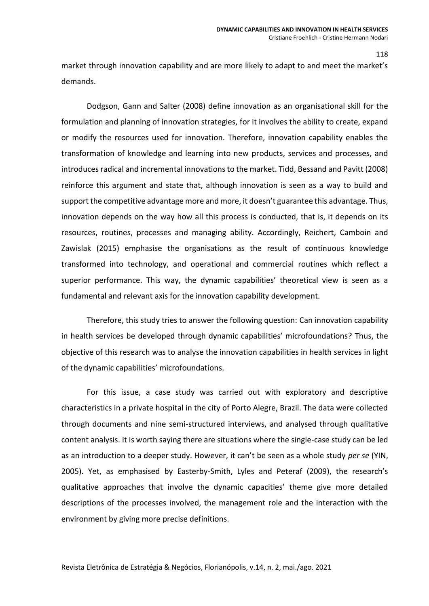market through innovation capability and are more likely to adapt to and meet the market's demands.

Dodgson, Gann and Salter (2008) define innovation as an organisational skill for the formulation and planning of innovation strategies, for it involves the ability to create, expand or modify the resources used for innovation. Therefore, innovation capability enables the transformation of knowledge and learning into new products, services and processes, and introduces radical and incremental innovations to the market. Tidd, Bessand and Pavitt (2008) reinforce this argument and state that, although innovation is seen as a way to build and support the competitive advantage more and more, it doesn't guarantee this advantage. Thus, innovation depends on the way how all this process is conducted, that is, it depends on its resources, routines, processes and managing ability. Accordingly, Reichert, Camboin and Zawislak (2015) emphasise the organisations as the result of continuous knowledge transformed into technology, and operational and commercial routines which reflect a superior performance. This way, the dynamic capabilities' theoretical view is seen as a fundamental and relevant axis for the innovation capability development.

Therefore, this study tries to answer the following question: Can innovation capability in health services be developed through dynamic capabilities' microfoundations? Thus, the objective of this research was to analyse the innovation capabilities in health services in light of the dynamic capabilities' microfoundations.

For this issue, a case study was carried out with exploratory and descriptive characteristics in a private hospital in the city of Porto Alegre, Brazil. The data were collected through documents and nine semi-structured interviews, and analysed through qualitative content analysis. It is worth saying there are situations where the single-case study can be led as an introduction to a deeper study. However, it can't be seen as a whole study *per se* (YIN, 2005). Yet, as emphasised by Easterby-Smith, Lyles and Peteraf (2009), the research's qualitative approaches that involve the dynamic capacities' theme give more detailed descriptions of the processes involved, the management role and the interaction with the environment by giving more precise definitions.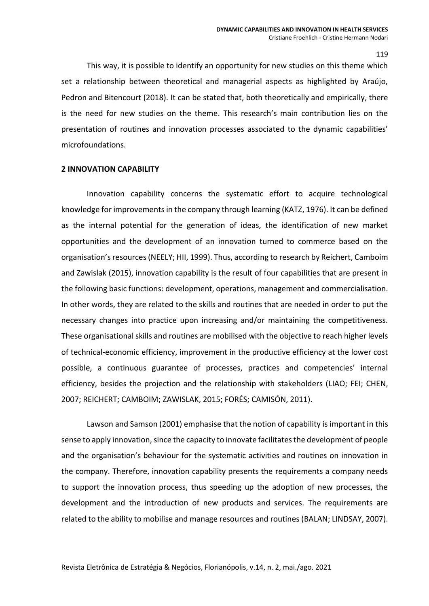This way, it is possible to identify an opportunity for new studies on this theme which set a relationship between theoretical and managerial aspects as highlighted by Araújo, Pedron and Bitencourt (2018). It can be stated that, both theoretically and empirically, there is the need for new studies on the theme. This research's main contribution lies on the presentation of routines and innovation processes associated to the dynamic capabilities' microfoundations.

#### **2 INNOVATION CAPABILITY**

Innovation capability concerns the systematic effort to acquire technological knowledge for improvements in the company through learning (KATZ, 1976). It can be defined as the internal potential for the generation of ideas, the identification of new market opportunities and the development of an innovation turned to commerce based on the organisation's resources (NEELY; HII, 1999). Thus, according to research by Reichert, Camboim and Zawislak (2015), innovation capability is the result of four capabilities that are present in the following basic functions: development, operations, management and commercialisation. In other words, they are related to the skills and routines that are needed in order to put the necessary changes into practice upon increasing and/or maintaining the competitiveness. These organisational skills and routines are mobilised with the objective to reach higher levels of technical-economic efficiency, improvement in the productive efficiency at the lower cost possible, a continuous guarantee of processes, practices and competencies' internal efficiency, besides the projection and the relationship with stakeholders (LIAO; FEI; CHEN, 2007; REICHERT; CAMBOIM; ZAWISLAK, 2015; FORÉS; CAMISÓN, 2011).

Lawson and Samson (2001) emphasise that the notion of capability is important in this sense to apply innovation, since the capacity to innovate facilitates the development of people and the organisation's behaviour for the systematic activities and routines on innovation in the company. Therefore, innovation capability presents the requirements a company needs to support the innovation process, thus speeding up the adoption of new processes, the development and the introduction of new products and services. The requirements are related to the ability to mobilise and manage resources and routines (BALAN; LINDSAY, 2007).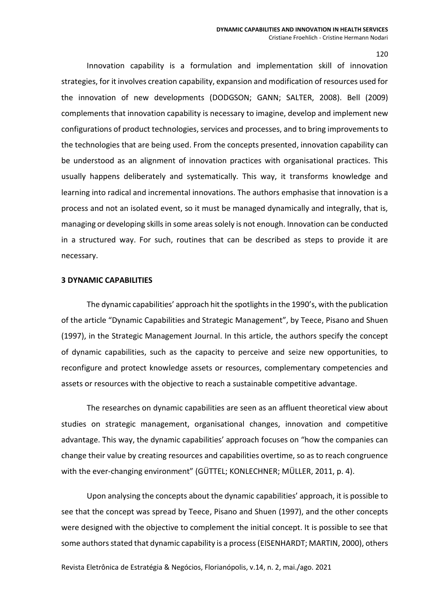Innovation capability is a formulation and implementation skill of innovation strategies, for it involves creation capability, expansion and modification of resources used for the innovation of new developments (DODGSON; GANN; SALTER, 2008). Bell (2009) complements that innovation capability is necessary to imagine, develop and implement new configurations of product technologies, services and processes, and to bring improvements to the technologies that are being used. From the concepts presented, innovation capability can be understood as an alignment of innovation practices with organisational practices. This usually happens deliberately and systematically. This way, it transforms knowledge and learning into radical and incremental innovations. The authors emphasise that innovation is a process and not an isolated event, so it must be managed dynamically and integrally, that is, managing or developing skills in some areas solely is not enough. Innovation can be conducted in a structured way. For such, routines that can be described as steps to provide it are necessary.

### **3 DYNAMIC CAPABILITIES**

The dynamic capabilities' approach hit the spotlights in the 1990's, with the publication of the article "Dynamic Capabilities and Strategic Management", by Teece, Pisano and Shuen (1997), in the Strategic Management Journal. In this article, the authors specify the concept of dynamic capabilities, such as the capacity to perceive and seize new opportunities, to reconfigure and protect knowledge assets or resources, complementary competencies and assets or resources with the objective to reach a sustainable competitive advantage.

The researches on dynamic capabilities are seen as an affluent theoretical view about studies on strategic management, organisational changes, innovation and competitive advantage. This way, the dynamic capabilities' approach focuses on "how the companies can change their value by creating resources and capabilities overtime, so as to reach congruence with the ever-changing environment" (GÜTTEL; KONLECHNER; MÜLLER, 2011, p. 4).

Upon analysing the concepts about the dynamic capabilities' approach, it is possible to see that the concept was spread by Teece, Pisano and Shuen (1997), and the other concepts were designed with the objective to complement the initial concept. It is possible to see that some authors stated that dynamic capability is a process (EISENHARDT; MARTIN, 2000), others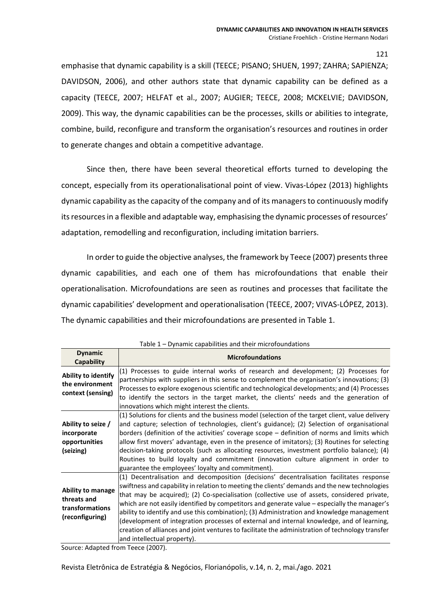emphasise that dynamic capability is a skill (TEECE; PISANO; SHUEN, 1997; ZAHRA; SAPIENZA; DAVIDSON, 2006), and other authors state that dynamic capability can be defined as a capacity (TEECE, 2007; HELFAT et al., 2007; AUGIER; TEECE, 2008; MCKELVIE; DAVIDSON, 2009). This way, the dynamic capabilities can be the processes, skills or abilities to integrate, combine, build, reconfigure and transform the organisation's resources and routines in order to generate changes and obtain a competitive advantage.

Since then, there have been several theoretical efforts turned to developing the concept, especially from its operationalisational point of view. Vivas-López (2013) highlights dynamic capability as the capacity of the company and of its managers to continuously modify its resources in a flexible and adaptable way, emphasising the dynamic processes of resources' adaptation, remodelling and reconfiguration, including imitation barriers.

In order to guide the objective analyses, the framework by Teece (2007) presents three dynamic capabilities, and each one of them has microfoundations that enable their operationalisation. Microfoundations are seen as routines and processes that facilitate the dynamic capabilities' development and operationalisation (TEECE, 2007; VIVAS-LÓPEZ, 2013). The dynamic capabilities and their microfoundations are presented in Table 1.

| <b>Dynamic</b><br>Capability                                                  | LUNIC T<br><b><i>Pynamic capabilities and their microfoundations</i></b><br><b>Microfoundations</b>                                                                                                                                                                                                                                                                                                                                                                                                                                                                                                                                                                                                                     |
|-------------------------------------------------------------------------------|-------------------------------------------------------------------------------------------------------------------------------------------------------------------------------------------------------------------------------------------------------------------------------------------------------------------------------------------------------------------------------------------------------------------------------------------------------------------------------------------------------------------------------------------------------------------------------------------------------------------------------------------------------------------------------------------------------------------------|
| Ability to identify<br>the environment<br>context (sensing)                   | (1) Processes to guide internal works of research and development; (2) Processes for<br>partnerships with suppliers in this sense to complement the organisation's innovations; (3)<br>Processes to explore exogenous scientific and technological developments; and (4) Processes<br>to identify the sectors in the target market, the clients' needs and the generation of<br>innovations which might interest the clients.                                                                                                                                                                                                                                                                                           |
| Ability to seize /<br>incorporate<br>opportunities<br>(seizing)               | (1) Solutions for clients and the business model (selection of the target client, value delivery<br>and capture; selection of technologies, client's guidance); (2) Selection of organisational<br>borders (definition of the activities' coverage scope - definition of norms and limits which<br>allow first movers' advantage, even in the presence of imitators); (3) Routines for selecting<br>decision-taking protocols (such as allocating resources, investment portfolio balance); (4)<br>Routines to build loyalty and commitment (innovation culture alignment in order to<br>guarantee the employees' loyalty and commitment).                                                                              |
| <b>Ability to manage</b><br>threats and<br>transformations<br>(reconfiguring) | (1) Decentralisation and decomposition (decisions' decentralisation facilitates response<br>swiftness and capability in relation to meeting the clients' demands and the new technologies<br>that may be acquired); (2) Co-specialisation (collective use of assets, considered private,<br>which are not easily identified by competitors and generate value - especially the manager's<br>ability to identify and use this combination); (3) Administration and knowledge management<br>(development of integration processes of external and internal knowledge, and of learning,<br>creation of alliances and joint ventures to facilitate the administration of technology transfer<br>and intellectual property). |

Table 1 – Dynamic capabilities and their microfoundations

Source: Adapted from Teece (2007).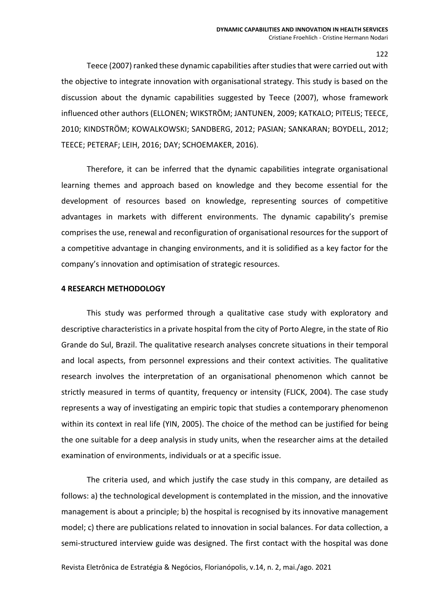Teece (2007) ranked these dynamic capabilities after studies that were carried out with the objective to integrate innovation with organisational strategy. This study is based on the discussion about the dynamic capabilities suggested by Teece (2007), whose framework influenced other authors (ELLONEN; WIKSTRÖM; JANTUNEN, 2009; KATKALO; PITELIS; TEECE, 2010; KINDSTRÖM; KOWALKOWSKI; SANDBERG, 2012; PASIAN; SANKARAN; BOYDELL, 2012; TEECE; PETERAF; LEIH, 2016; DAY; SCHOEMAKER, 2016).

Therefore, it can be inferred that the dynamic capabilities integrate organisational learning themes and approach based on knowledge and they become essential for the development of resources based on knowledge, representing sources of competitive advantages in markets with different environments. The dynamic capability's premise comprises the use, renewal and reconfiguration of organisational resources for the support of a competitive advantage in changing environments, and it is solidified as a key factor for the company's innovation and optimisation of strategic resources.

### **4 RESEARCH METHODOLOGY**

This study was performed through a qualitative case study with exploratory and descriptive characteristics in a private hospital from the city of Porto Alegre, in the state of Rio Grande do Sul, Brazil. The qualitative research analyses concrete situations in their temporal and local aspects, from personnel expressions and their context activities. The qualitative research involves the interpretation of an organisational phenomenon which cannot be strictly measured in terms of quantity, frequency or intensity (FLICK, 2004). The case study represents a way of investigating an empiric topic that studies a contemporary phenomenon within its context in real life (YIN, 2005). The choice of the method can be justified for being the one suitable for a deep analysis in study units, when the researcher aims at the detailed examination of environments, individuals or at a specific issue.

The criteria used, and which justify the case study in this company, are detailed as follows: a) the technological development is contemplated in the mission, and the innovative management is about a principle; b) the hospital is recognised by its innovative management model; c) there are publications related to innovation in social balances. For data collection, a semi-structured interview guide was designed. The first contact with the hospital was done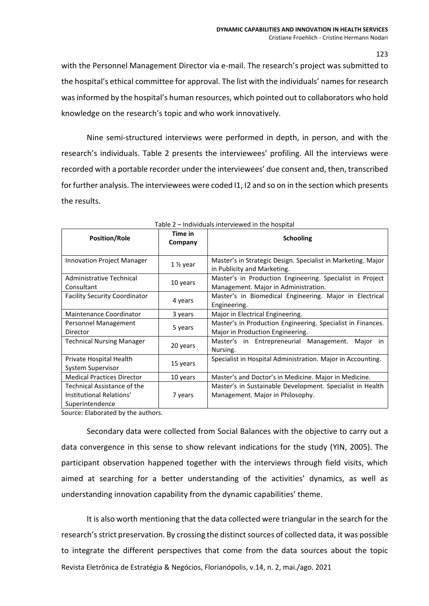with the Personnel Management Director via e-mail. The research's project was submitted to the hospital's ethical committee for approval. The list with the individuals' names for research wasinformed by the hospital's human resources, which pointed out to collaborators who hold knowledge on the research's topic and who work innovatively.

Nine semi-structured interviews were performed in depth, in person, and with the research's individuals. Table 2 presents the interviewees' profiling. All the interviews were recorded with a portable recorder under the interviewees' due consent and, then, transcribed for further analysis. The interviewees were coded I1, I2 and so on in the section which presents the results.

| <b>Position/Role</b>                                                       | Time in<br>Company     | <b>Schooling</b>                                                                                  |  |  |
|----------------------------------------------------------------------------|------------------------|---------------------------------------------------------------------------------------------------|--|--|
| <b>Innovation Project Manager</b>                                          | 1 1/ <sub>2</sub> year | Master's in Strategic Design. Specialist in Marketing. Major<br>in Publicity and Marketing.       |  |  |
| Administrative Technical<br>Consultant                                     | 10 years               | Master's in Production Engineering. Specialist in Project<br>Management. Major in Administration. |  |  |
| <b>Facility Security Coordinator</b>                                       | 4 years                | Master's in Biomedical Engineering. Major in Electrical<br>Engineering.                           |  |  |
| Maintenance Coordinator                                                    | 3 years                | Major in Electrical Engineering.                                                                  |  |  |
| Personnel Management<br>Director                                           | 5 years                | Master's in Production Engineering. Specialist in Finances.<br>Major in Production Engineering.   |  |  |
| <b>Technical Nursing Manager</b>                                           | 20 years               | Master's in Entrepreneurial Management. Major<br>in<br>Nursing.                                   |  |  |
| Private Hospital Health<br>System Supervisor                               | 15 years               | Specialist in Hospital Administration. Major in Accounting.                                       |  |  |
| <b>Medical Practices Director</b>                                          | 10 years               | Master's and Doctor's in Medicine. Major in Medicine.                                             |  |  |
| Technical Assistance of the<br>Institutional Relations'<br>Superintendence | 7 years                | Master's in Sustainable Development. Specialist in Health<br>Management. Major in Philosophy.     |  |  |

|  | Table 2 - Individuals interviewed in the hospital |  |
|--|---------------------------------------------------|--|
|  |                                                   |  |

Source: Elaborated by the authors.

Secondary data were collected from Social Balances with the objective to carry out a data convergence in this sense to show relevant indications for the study (YIN, 2005). The participant observation happened together with the interviews through field visits, which aimed at searching for a better understanding of the activities' dynamics, as well as understanding innovation capability from the dynamic capabilities' theme.

Revista Eletrônica de Estratégia & Negócios, Florianópolis, v.14, n. 2, mai./ago. 2021 It is also worth mentioning that the data collected were triangular in the search for the research's strict preservation. By crossing the distinct sources of collected data, it was possible to integrate the different perspectives that come from the data sources about the topic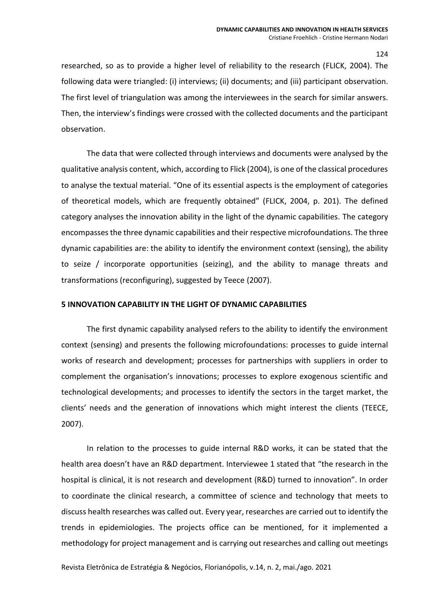researched, so as to provide a higher level of reliability to the research (FLICK, 2004). The following data were triangled: (i) interviews; (ii) documents; and (iii) participant observation. The first level of triangulation was among the interviewees in the search for similar answers. Then, the interview's findings were crossed with the collected documents and the participant observation.

The data that were collected through interviews and documents were analysed by the qualitative analysis content, which, according to Flick (2004), is one of the classical procedures to analyse the textual material. "One of its essential aspects is the employment of categories of theoretical models, which are frequently obtained" (FLICK, 2004, p. 201). The defined category analyses the innovation ability in the light of the dynamic capabilities. The category encompasses the three dynamic capabilities and their respective microfoundations. The three dynamic capabilities are: the ability to identify the environment context (sensing), the ability to seize / incorporate opportunities (seizing), and the ability to manage threats and transformations (reconfiguring), suggested by Teece (2007).

# **5 INNOVATION CAPABILITY IN THE LIGHT OF DYNAMIC CAPABILITIES**

The first dynamic capability analysed refers to the ability to identify the environment context (sensing) and presents the following microfoundations: processes to guide internal works of research and development; processes for partnerships with suppliers in order to complement the organisation's innovations; processes to explore exogenous scientific and technological developments; and processes to identify the sectors in the target market, the clients' needs and the generation of innovations which might interest the clients (TEECE, 2007).

In relation to the processes to guide internal R&D works, it can be stated that the health area doesn't have an R&D department. Interviewee 1 stated that "the research in the hospital is clinical, it is not research and development (R&D) turned to innovation". In order to coordinate the clinical research, a committee of science and technology that meets to discuss health researches was called out. Every year, researches are carried out to identify the trends in epidemiologies. The projects office can be mentioned, for it implemented a methodology for project management and is carrying out researches and calling out meetings

Revista Eletrônica de Estratégia & Negócios, Florianópolis, v.14, n. 2, mai./ago. 2021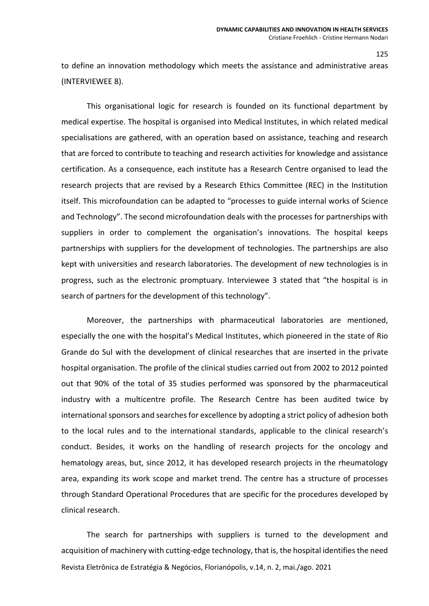to define an innovation methodology which meets the assistance and administrative areas (INTERVIEWEE 8).

This organisational logic for research is founded on its functional department by medical expertise. The hospital is organised into Medical Institutes, in which related medical specialisations are gathered, with an operation based on assistance, teaching and research that are forced to contribute to teaching and research activities for knowledge and assistance certification. As a consequence, each institute has a Research Centre organised to lead the research projects that are revised by a Research Ethics Committee (REC) in the Institution itself. This microfoundation can be adapted to "processes to guide internal works of Science and Technology". The second microfoundation deals with the processes for partnerships with suppliers in order to complement the organisation's innovations. The hospital keeps partnerships with suppliers for the development of technologies. The partnerships are also kept with universities and research laboratories. The development of new technologies is in progress, such as the electronic promptuary. Interviewee 3 stated that "the hospital is in search of partners for the development of this technology".

Moreover, the partnerships with pharmaceutical laboratories are mentioned, especially the one with the hospital's Medical Institutes, which pioneered in the state of Rio Grande do Sul with the development of clinical researches that are inserted in the private hospital organisation. The profile of the clinical studies carried out from 2002 to 2012 pointed out that 90% of the total of 35 studies performed was sponsored by the pharmaceutical industry with a multicentre profile. The Research Centre has been audited twice by international sponsors and searches for excellence by adopting a strict policy of adhesion both to the local rules and to the international standards, applicable to the clinical research's conduct. Besides, it works on the handling of research projects for the oncology and hematology areas, but, since 2012, it has developed research projects in the rheumatology area, expanding its work scope and market trend. The centre has a structure of processes through Standard Operational Procedures that are specific for the procedures developed by clinical research.

Revista Eletrônica de Estratégia & Negócios, Florianópolis, v.14, n. 2, mai./ago. 2021 The search for partnerships with suppliers is turned to the development and acquisition of machinery with cutting-edge technology, that is, the hospital identifies the need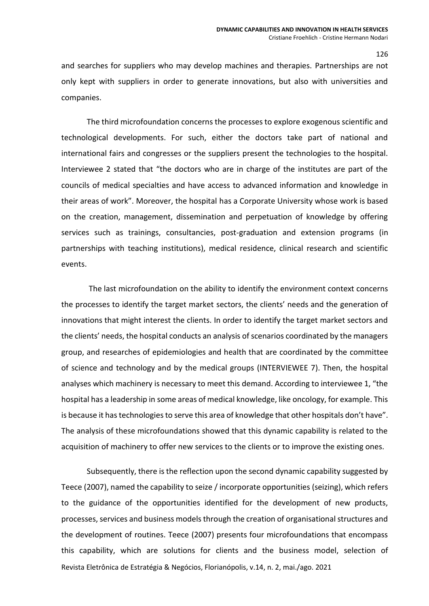and searches for suppliers who may develop machines and therapies. Partnerships are not only kept with suppliers in order to generate innovations, but also with universities and companies.

The third microfoundation concerns the processes to explore exogenous scientific and technological developments. For such, either the doctors take part of national and international fairs and congresses or the suppliers present the technologies to the hospital. Interviewee 2 stated that "the doctors who are in charge of the institutes are part of the councils of medical specialties and have access to advanced information and knowledge in their areas of work". Moreover, the hospital has a Corporate University whose work is based on the creation, management, dissemination and perpetuation of knowledge by offering services such as trainings, consultancies, post-graduation and extension programs (in partnerships with teaching institutions), medical residence, clinical research and scientific events.

The last microfoundation on the ability to identify the environment context concerns the processes to identify the target market sectors, the clients' needs and the generation of innovations that might interest the clients. In order to identify the target market sectors and the clients' needs, the hospital conducts an analysis of scenarios coordinated by the managers group, and researches of epidemiologies and health that are coordinated by the committee of science and technology and by the medical groups (INTERVIEWEE 7). Then, the hospital analyses which machinery is necessary to meet this demand. According to interviewee 1, "the hospital has a leadership in some areas of medical knowledge, like oncology, for example. This is because it has technologies to serve this area of knowledge that other hospitals don't have". The analysis of these microfoundations showed that this dynamic capability is related to the acquisition of machinery to offer new services to the clients or to improve the existing ones.

Revista Eletrônica de Estratégia & Negócios, Florianópolis, v.14, n. 2, mai./ago. 2021 Subsequently, there is the reflection upon the second dynamic capability suggested by Teece (2007), named the capability to seize / incorporate opportunities (seizing), which refers to the guidance of the opportunities identified for the development of new products, processes, services and business models through the creation of organisational structures and the development of routines. Teece (2007) presents four microfoundations that encompass this capability, which are solutions for clients and the business model, selection of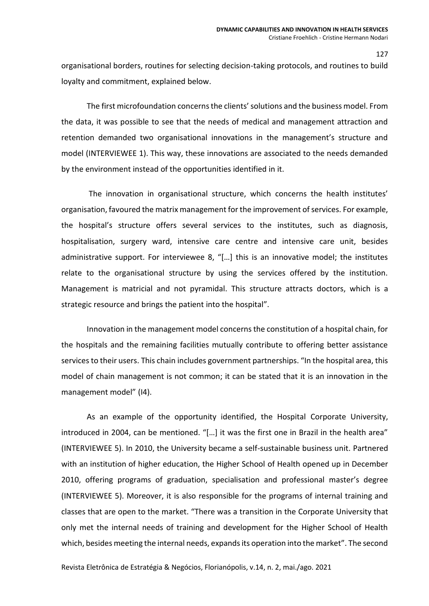organisational borders, routines for selecting decision-taking protocols, and routines to build loyalty and commitment, explained below.

The first microfoundation concerns the clients' solutions and the business model. From the data, it was possible to see that the needs of medical and management attraction and retention demanded two organisational innovations in the management's structure and model (INTERVIEWEE 1). This way, these innovations are associated to the needs demanded by the environment instead of the opportunities identified in it.

The innovation in organisational structure, which concerns the health institutes' organisation, favoured the matrix management for the improvement of services. For example, the hospital's structure offers several services to the institutes, such as diagnosis, hospitalisation, surgery ward, intensive care centre and intensive care unit, besides administrative support. For interviewee 8, "[…] this is an innovative model; the institutes relate to the organisational structure by using the services offered by the institution. Management is matricial and not pyramidal. This structure attracts doctors, which is a strategic resource and brings the patient into the hospital".

Innovation in the management model concerns the constitution of a hospital chain, for the hospitals and the remaining facilities mutually contribute to offering better assistance services to their users. This chain includes government partnerships. "In the hospital area, this model of chain management is not common; it can be stated that it is an innovation in the management model" (I4).

As an example of the opportunity identified, the Hospital Corporate University, introduced in 2004, can be mentioned. "[…] it was the first one in Brazil in the health area" (INTERVIEWEE 5). In 2010, the University became a self-sustainable business unit. Partnered with an institution of higher education, the Higher School of Health opened up in December 2010, offering programs of graduation, specialisation and professional master's degree (INTERVIEWEE 5). Moreover, it is also responsible for the programs of internal training and classes that are open to the market. "There was a transition in the Corporate University that only met the internal needs of training and development for the Higher School of Health which, besides meeting the internal needs, expands its operation into the market". The second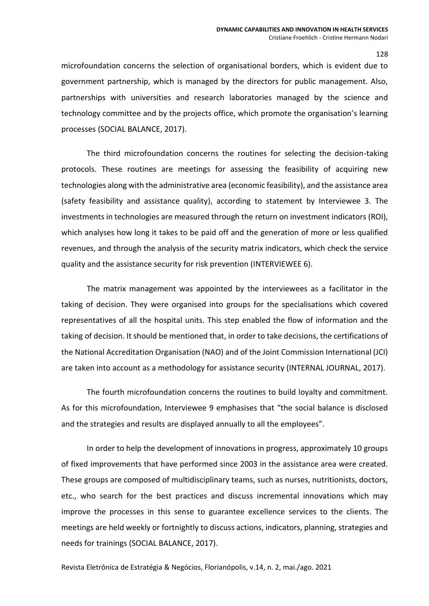microfoundation concerns the selection of organisational borders, which is evident due to government partnership, which is managed by the directors for public management. Also, partnerships with universities and research laboratories managed by the science and technology committee and by the projects office, which promote the organisation's learning processes (SOCIAL BALANCE, 2017).

The third microfoundation concerns the routines for selecting the decision-taking protocols. These routines are meetings for assessing the feasibility of acquiring new technologies along with the administrative area (economic feasibility), and the assistance area (safety feasibility and assistance quality), according to statement by Interviewee 3. The investments in technologies are measured through the return on investment indicators (ROI), which analyses how long it takes to be paid off and the generation of more or less qualified revenues, and through the analysis of the security matrix indicators, which check the service quality and the assistance security for risk prevention (INTERVIEWEE 6).

The matrix management was appointed by the interviewees as a facilitator in the taking of decision. They were organised into groups for the specialisations which covered representatives of all the hospital units. This step enabled the flow of information and the taking of decision. It should be mentioned that, in order to take decisions, the certifications of the National Accreditation Organisation (NAO) and of the Joint Commission International (JCI) are taken into account as a methodology for assistance security (INTERNAL JOURNAL, 2017).

The fourth microfoundation concerns the routines to build loyalty and commitment. As for this microfoundation, Interviewee 9 emphasises that "the social balance is disclosed and the strategies and results are displayed annually to all the employees".

In order to help the development of innovations in progress, approximately 10 groups of fixed improvements that have performed since 2003 in the assistance area were created. These groups are composed of multidisciplinary teams, such as nurses, nutritionists, doctors, etc., who search for the best practices and discuss incremental innovations which may improve the processes in this sense to guarantee excellence services to the clients. The meetings are held weekly or fortnightly to discuss actions, indicators, planning, strategies and needs for trainings (SOCIAL BALANCE, 2017).

Revista Eletrônica de Estratégia & Negócios, Florianópolis, v.14, n. 2, mai./ago. 2021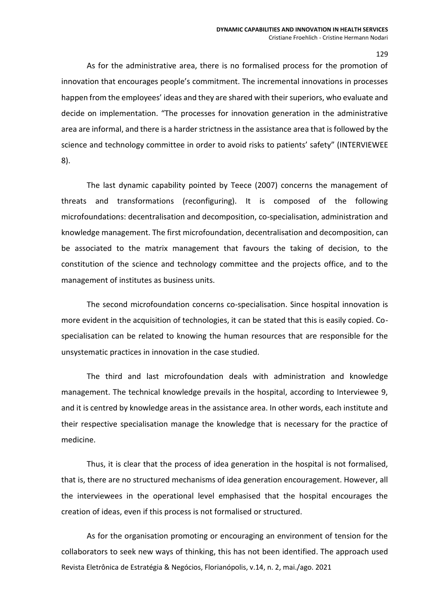As for the administrative area, there is no formalised process for the promotion of innovation that encourages people's commitment. The incremental innovations in processes happen from the employees' ideas and they are shared with their superiors, who evaluate and decide on implementation. "The processes for innovation generation in the administrative area are informal, and there is a harder strictness in the assistance area that is followed by the science and technology committee in order to avoid risks to patients' safety" (INTERVIEWEE 8).

The last dynamic capability pointed by Teece (2007) concerns the management of threats and transformations (reconfiguring). It is composed of the following microfoundations: decentralisation and decomposition, co-specialisation, administration and knowledge management. The first microfoundation, decentralisation and decomposition, can be associated to the matrix management that favours the taking of decision, to the constitution of the science and technology committee and the projects office, and to the management of institutes as business units.

The second microfoundation concerns co-specialisation. Since hospital innovation is more evident in the acquisition of technologies, it can be stated that this is easily copied. Cospecialisation can be related to knowing the human resources that are responsible for the unsystematic practices in innovation in the case studied.

The third and last microfoundation deals with administration and knowledge management. The technical knowledge prevails in the hospital, according to Interviewee 9, and it is centred by knowledge areas in the assistance area. In other words, each institute and their respective specialisation manage the knowledge that is necessary for the practice of medicine.

Thus, it is clear that the process of idea generation in the hospital is not formalised, that is, there are no structured mechanisms of idea generation encouragement. However, all the interviewees in the operational level emphasised that the hospital encourages the creation of ideas, even if this process is not formalised or structured.

Revista Eletrônica de Estratégia & Negócios, Florianópolis, v.14, n. 2, mai./ago. 2021 As for the organisation promoting or encouraging an environment of tension for the collaborators to seek new ways of thinking, this has not been identified. The approach used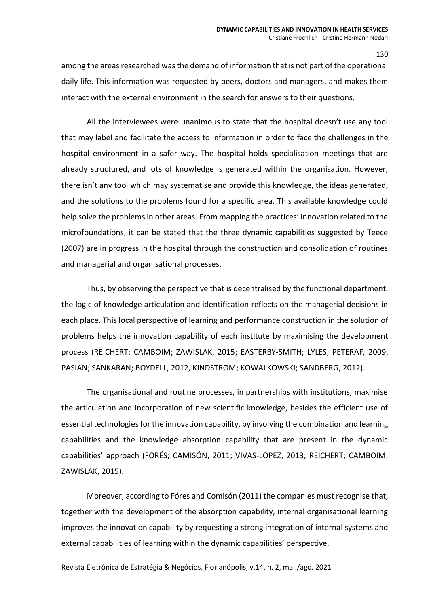among the areas researched was the demand of information that is not part of the operational daily life. This information was requested by peers, doctors and managers, and makes them interact with the external environment in the search for answers to their questions.

All the interviewees were unanimous to state that the hospital doesn't use any tool that may label and facilitate the access to information in order to face the challenges in the hospital environment in a safer way. The hospital holds specialisation meetings that are already structured, and lots of knowledge is generated within the organisation. However, there isn't any tool which may systematise and provide this knowledge, the ideas generated, and the solutions to the problems found for a specific area. This available knowledge could help solve the problems in other areas. From mapping the practices' innovation related to the microfoundations, it can be stated that the three dynamic capabilities suggested by Teece (2007) are in progress in the hospital through the construction and consolidation of routines and managerial and organisational processes.

Thus, by observing the perspective that is decentralised by the functional department, the logic of knowledge articulation and identification reflects on the managerial decisions in each place. This local perspective of learning and performance construction in the solution of problems helps the innovation capability of each institute by maximising the development process (REICHERT; CAMBOIM; ZAWISLAK, 2015; EASTERBY-SMITH; LYLES; PETERAF*,* 2009, PASIAN; SANKARAN; BOYDELL, 2012, KINDSTRÖM; KOWALKOWSKI; SANDBERG, 2012).

The organisational and routine processes, in partnerships with institutions, maximise the articulation and incorporation of new scientific knowledge, besides the efficient use of essential technologies for the innovation capability, by involving the combination and learning capabilities and the knowledge absorption capability that are present in the dynamic capabilities' approach (FORÉS; CAMISÓN, 2011; VIVAS-LÓPEZ, 2013; REICHERT; CAMBOIM; ZAWISLAK, 2015).

Moreover, according to Fóres and Comisón (2011) the companies must recognise that, together with the development of the absorption capability, internal organisational learning improves the innovation capability by requesting a strong integration of internal systems and external capabilities of learning within the dynamic capabilities' perspective.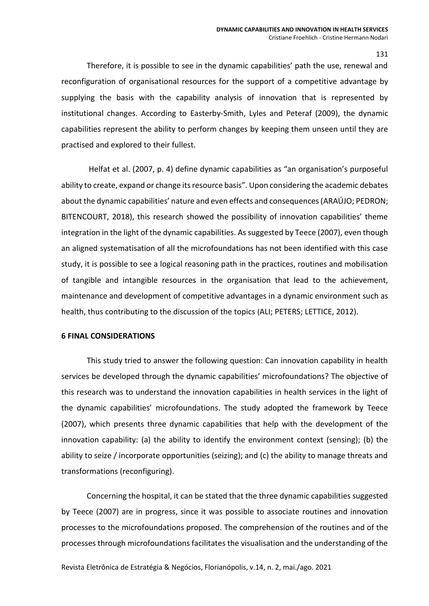Therefore, it is possible to see in the dynamic capabilities' path the use, renewal and reconfiguration of organisational resources for the support of a competitive advantage by supplying the basis with the capability analysis of innovation that is represented by institutional changes. According to Easterby-Smith, Lyles and Peteraf (2009), the dynamic capabilities represent the ability to perform changes by keeping them unseen until they are practised and explored to their fullest.

Helfat et al. (2007, p. 4) define dynamic capabilities as "an organisation's purposeful ability to create, expand or change its resource basis". Upon considering the academic debates about the dynamic capabilities' nature and even effects and consequences (ARAÚJO; PEDRON; BITENCOURT, 2018), this research showed the possibility of innovation capabilities' theme integration in the light of the dynamic capabilities. As suggested by Teece (2007), even though an aligned systematisation of all the microfoundations has not been identified with this case study, it is possible to see a logical reasoning path in the practices, routines and mobilisation of tangible and intangible resources in the organisation that lead to the achievement, maintenance and development of competitive advantages in a dynamic environment such as health, thus contributing to the discussion of the topics (ALI; PETERS; LETTICE, 2012).

### **6 FINAL CONSIDERATIONS**

This study tried to answer the following question: Can innovation capability in health services be developed through the dynamic capabilities' microfoundations? The objective of this research was to understand the innovation capabilities in health services in the light of the dynamic capabilities' microfoundations. The study adopted the framework by Teece (2007), which presents three dynamic capabilities that help with the development of the innovation capability: (a) the ability to identify the environment context (sensing); (b) the ability to seize / incorporate opportunities (seizing); and (c) the ability to manage threats and transformations (reconfiguring).

Concerning the hospital, it can be stated that the three dynamic capabilities suggested by Teece (2007) are in progress, since it was possible to associate routines and innovation processes to the microfoundations proposed. The comprehension of the routines and of the processes through microfoundations facilitates the visualisation and the understanding of the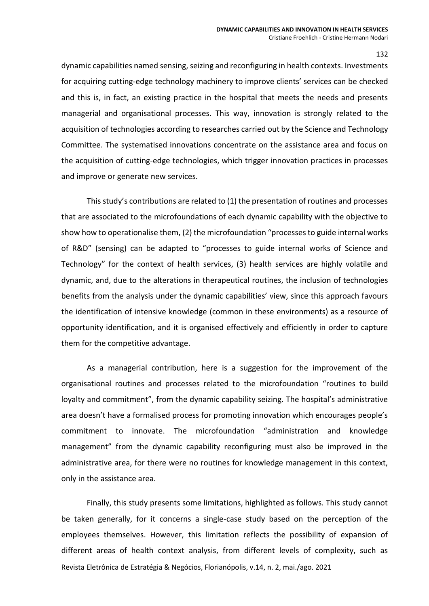dynamic capabilities named sensing, seizing and reconfiguring in health contexts. Investments for acquiring cutting-edge technology machinery to improve clients' services can be checked and this is, in fact, an existing practice in the hospital that meets the needs and presents managerial and organisational processes. This way, innovation is strongly related to the acquisition of technologies according to researches carried out by the Science and Technology Committee. The systematised innovations concentrate on the assistance area and focus on the acquisition of cutting-edge technologies, which trigger innovation practices in processes and improve or generate new services.

This study's contributions are related to (1) the presentation of routines and processes that are associated to the microfoundations of each dynamic capability with the objective to show how to operationalise them, (2) the microfoundation "processes to guide internal works of R&D" (sensing) can be adapted to "processes to guide internal works of Science and Technology" for the context of health services, (3) health services are highly volatile and dynamic, and, due to the alterations in therapeutical routines, the inclusion of technologies benefits from the analysis under the dynamic capabilities' view, since this approach favours the identification of intensive knowledge (common in these environments) as a resource of opportunity identification, and it is organised effectively and efficiently in order to capture them for the competitive advantage.

As a managerial contribution, here is a suggestion for the improvement of the organisational routines and processes related to the microfoundation "routines to build loyalty and commitment", from the dynamic capability seizing. The hospital's administrative area doesn't have a formalised process for promoting innovation which encourages people's commitment to innovate. The microfoundation "administration and knowledge management" from the dynamic capability reconfiguring must also be improved in the administrative area, for there were no routines for knowledge management in this context, only in the assistance area.

Revista Eletrônica de Estratégia & Negócios, Florianópolis, v.14, n. 2, mai./ago. 2021 Finally, this study presents some limitations, highlighted as follows. This study cannot be taken generally, for it concerns a single-case study based on the perception of the employees themselves. However, this limitation reflects the possibility of expansion of different areas of health context analysis, from different levels of complexity, such as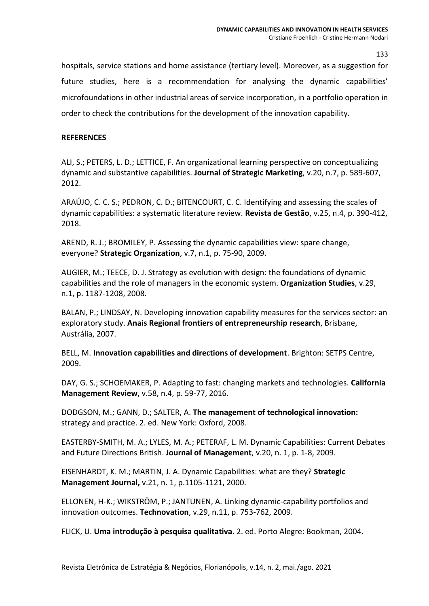hospitals, service stations and home assistance (tertiary level). Moreover, as a suggestion for future studies, here is a recommendation for analysing the dynamic capabilities' microfoundations in other industrial areas of service incorporation, in a portfolio operation in order to check the contributions for the development of the innovation capability.

### **REFERENCES**

ALI, S.; PETERS, L. D.; LETTICE, F. An organizational learning perspective on conceptualizing dynamic and substantive capabilities. **Journal of Strategic Marketing**, v.20, n.7, p. 589-607, 2012.

ARAÚJO, C. C. S.; PEDRON, C. D.; BITENCOURT, C. C. Identifying and assessing the scales of dynamic capabilities: a systematic literature review. **Revista de Gestão**, v.25, n.4, p. 390-412, 2018.

AREND, R. J.; BROMILEY, P. Assessing the dynamic capabilities view: spare change, everyone? **Strategic Organization**, v.7, n.1, p. 75-90, 2009.

AUGIER, M.; TEECE, D. J. Strategy as evolution with design: the foundations of dynamic capabilities and the role of managers in the economic system. **Organization Studies**, v.29, n.1, p. 1187-1208, 2008.

BALAN, P.; LINDSAY, N. Developing innovation capability measures for the services sector: an exploratory study. **Anais Regional frontiers of entrepreneurship research**, Brisbane, Austrália, 2007.

BELL, M. **Innovation capabilities and directions of development**. Brighton: SETPS Centre, 2009.

DAY, G. S.; SCHOEMAKER, P. Adapting to fast: changing markets and technologies. **California Management Review**, v.58, n.4, p. 59-77, 2016.

DODGSON, M.; GANN, D.; SALTER, A. **The management of technological innovation:** strategy and practice. 2. ed. New York: Oxford, 2008.

EASTERBY-SMITH, M. A.; LYLES, M. A.; PETERAF, L. M. Dynamic Capabilities: Current Debates and Future Directions British. **Journal of Management**, v.20, n. 1, p. 1-8, 2009.

EISENHARDT, K. M.; MARTIN, J. A. Dynamic Capabilities: what are they? **Strategic Management Journal,** v.21, n. 1, p.1105-1121, 2000.

ELLONEN, H-K.; WIKSTRÖM, P.; JANTUNEN, A. Linking dynamic-capability portfolios and innovation outcomes. **Technovation**, v.29, n.11, p. 753-762, 2009.

FLICK, U. **Uma introdução à pesquisa qualitativa**. 2. ed. Porto Alegre: Bookman, 2004.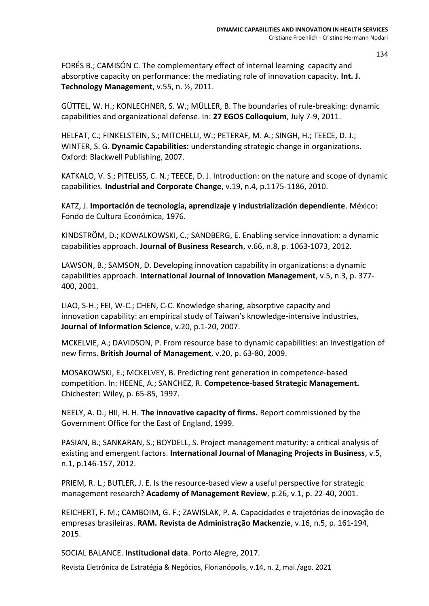FORÉS B.; CAMISÓN C. The complementary effect of internal learning capacity and absorptive capacity on performance: the mediating role of innovation capacity. **Int. J. Technology Management**, v.55, n. ½, 2011.

GÜTTEL, W. H.; KONLECHNER, S. W.; MÜLLER, B. The boundaries of rule-breaking: dynamic capabilities and organizational defense. In: **27 EGOS Colloquium**, July 7-9, 2011.

HELFAT, C.; FINKELSTEIN, S.; MITCHELLI, W.; PETERAF, M. A.; SINGH, H.; TEECE, D. J.; WINTER, S. G. **Dynamic Capabilities:** understanding strategic change in organizations. Oxford: Blackwell Publishing, 2007.

KATKALO, V. S.; PITELISS, C. N.; TEECE, D. J. Introduction: on the nature and scope of dynamic capabilities. **Industrial and Corporate Change**, v.19, n.4, p.1175-1186, 2010.

KATZ, J. **Importación de tecnología, aprendizaje y industrialización dependiente**. México: Fondo de Cultura Económica, 1976.

KINDSTRÖM, D.; KOWALKOWSKI, C.; SANDBERG, E. Enabling service innovation: a dynamic capabilities approach. **Journal of Business Research**, v.66, n.8, p. 1063-1073, 2012.

LAWSON, B.; SAMSON, D. Developing innovation capability in organizations: a dynamic capabilities approach. **International Journal of Innovation Management**, v.5, n.3, p. 377- 400, 2001.

LIAO, S-H.; FEI, W-C.; CHEN, C-C. Knowledge sharing, absorptive capacity and innovation capability: an empirical study of Taiwan's knowledge-intensive industries, **Journal of Information Science**, v.20, p.1-20, 2007.

MCKELVIE, A.; DAVIDSON, P. From resource base to dynamic capabilities: an Investigation of new firms. **British Journal of Management**, v.20, p. 63-80, 2009.

MOSAKOWSKI, E.; MCKELVEY, B. Predicting rent generation in competence-based competition. In: HEENE, A.; SANCHEZ, R. **Competence-based Strategic Management.** Chichester: Wiley, p. 65-85, 1997.

NEELY, A. D.; HII, H. H. **The innovative capacity of firms.** Report commissioned by the Government Office for the East of England, 1999.

PASIAN, B.; SANKARAN, S.; BOYDELL, S. Project management maturity: a critical analysis of existing and emergent factors. **International Journal of Managing Projects in Business**, v.5, n.1, p.146-157, 2012.

PRIEM, R. L.; BUTLER, J. E. Is the resource-based view a useful perspective for strategic management research? **Academy of Management Review**, p.26, v.1, p. 22-40, 2001.

REICHERT, F. M.; CAMBOIM, G. F.; ZAWISLAK, P. A. Capacidades e trajetórias de inovação de empresas brasileiras. **RAM. Revista de Administração Mackenzie**, v.16, n.5, p. 161-194, 2015.

SOCIAL BALANCE. **Institucional data**. Porto Alegre, 2017.

Revista Eletrônica de Estratégia & Negócios, Florianópolis, v.14, n. 2, mai./ago. 2021